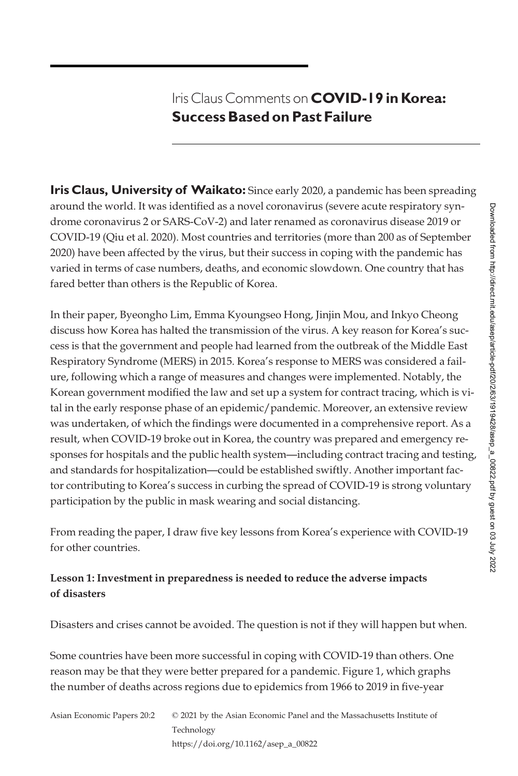# Iris Claus Comments on **COVID-19 in Korea: Success Based on Past Failure**

**Iris Claus, University of Waikato:** Since early 2020, a pandemic has been spreading around the world. It was identified as a novel coronavirus (severe acute respiratory syndrome coronavirus 2 or SARS-CoV-2) and later renamed as coronavirus disease 2019 or COVID-19 (Qiu et al. 2020). Most countries and territories (more than 200 as of September 2020) have been affected by the virus, but their success in coping with the pandemic has varied in terms of case numbers, deaths, and economic slowdown. One country that has fared better than others is the Republic of Korea.

In their paper, Byeongho Lim, Emma Kyoungseo Hong, Jinjin Mou, and Inkyo Cheong discuss how Korea has halted the transmission of the virus. A key reason for Korea's success is that the government and people had learned from the outbreak of the Middle East Respiratory Syndrome (MERS) in 2015. Korea's response to MERS was considered a failure, following which a range of measures and changes were implemented. Notably, the Korean government modified the law and set up a system for contract tracing, which is vital in the early response phase of an epidemic/pandemic. Moreover, an extensive review was undertaken, of which the findings were documented in a comprehensive report. As a result, when COVID-19 broke out in Korea, the country was prepared and emergency responses for hospitals and the public health system—including contract tracing and testing, and standards for hospitalization—could be established swiftly. Another important factor contributing to Korea's success in curbing the spread of COVID-19 is strong voluntary participation by the public in mask wearing and social distancing.

From reading the paper, I draw five key lessons from Korea's experience with COVID-19 for other countries.

### **Lesson 1: Investment in preparedness is needed to reduce the adverse impacts of disasters**

Disasters and crises cannot be avoided. The question is not if they will happen but when.

Some countries have been more successful in coping with COVID-19 than others. One reason may be that they were better prepared for a pandemic. Figure 1, which graphs the number of deaths across regions due to epidemics from 1966 to 2019 in five-year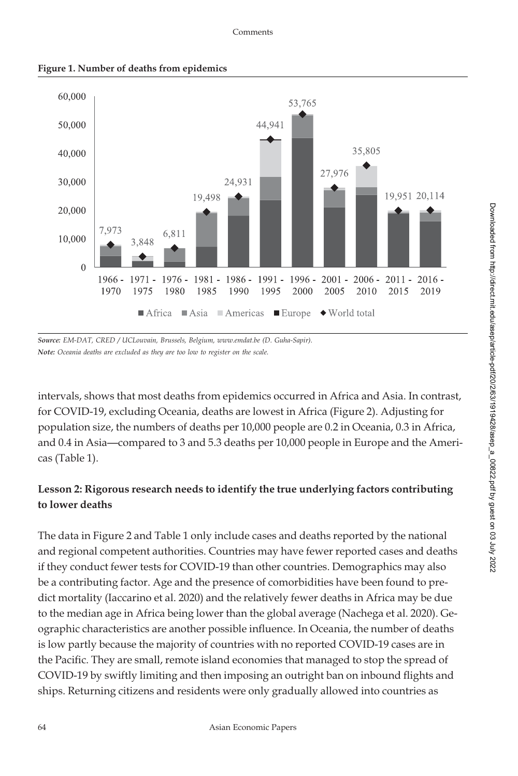#### Comments



**Figure 1. Number of deaths from epidemics**

*Source: EM-DAT, CRED / UCLouvain, Brussels, Belgium,<www.emdat.be> (D. Guha-Sapir). Note: Oceania deaths are excluded as they are too low to register on the scale.*

intervals, shows that most deaths from epidemics occurred in Africa and Asia. In contrast, for COVID-19, excluding Oceania, deaths are lowest in Africa (Figure 2). Adjusting for population size, the numbers of deaths per 10,000 people are 0.2 in Oceania, 0.3 in Africa, and 0.4 in Asia—compared to 3 and 5.3 deaths per 10,000 people in Europe and the Americas (Table 1).

## **Lesson 2: Rigorous research needs to identify the true underlying factors contributing to lower deaths**

The data in Figure 2 and Table 1 only include cases and deaths reported by the national and regional competent authorities. Countries may have fewer reported cases and deaths if they conduct fewer tests for COVID-19 than other countries. Demographics may also be a contributing factor. Age and the presence of comorbidities have been found to predict mortality (Iaccarino et al. 2020) and the relatively fewer deaths in Africa may be due to the median age in Africa being lower than the global average (Nachega et al. 2020). Geographic characteristics are another possible influence. In Oceania, the number of deaths is low partly because the majority of countries with no reported COVID-19 cases are in the Pacific. They are small, remote island economies that managed to stop the spread of COVID-19 by swiftly limiting and then imposing an outright ban on inbound flights and ships. Returning citizens and residents were only gradually allowed into countries as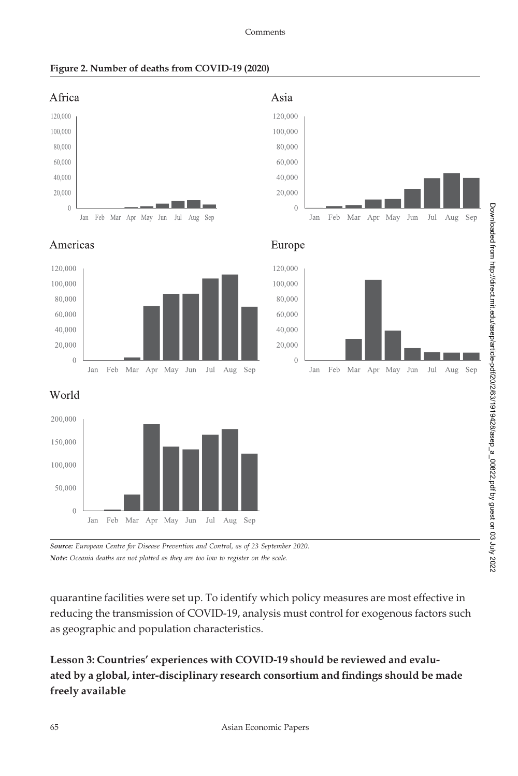



*Source: European Centre for Disease Prevention and Control, as of 23 September 2020. Note: Oceania deaths are not plotted as they are too low to register on the scale.*

quarantine facilities were set up. To identify which policy measures are most effective in reducing the transmission of COVID-19, analysis must control for exogenous factors such as geographic and population characteristics.

**Lesson 3: Countries' experiences with COVID-19 should be reviewed and evaluated by a global, inter-disciplinary research consortium and findings should be made freely available**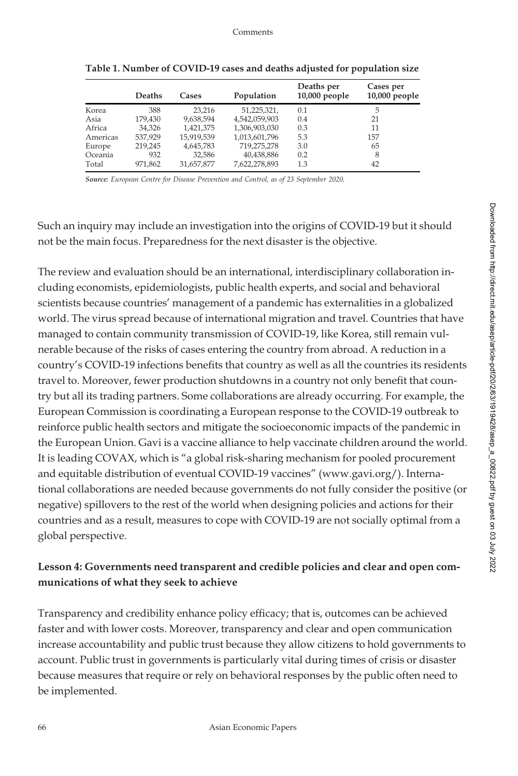|          | Deaths  | Cases      | Population    | Deaths per<br>$10,000$ people | Cases per<br>10,000 people |
|----------|---------|------------|---------------|-------------------------------|----------------------------|
| Korea    | 388     | 23.216     | 51,225,321,   | 0.1                           | 5                          |
| Asia     | 179,430 | 9,638,594  | 4,542,059,903 | 0.4                           | 21                         |
| Africa   | 34.326  | 1,421,375  | 1,306,903,030 | 0.3                           | 11                         |
| Americas | 537.929 | 15,919,539 | 1,013,601,796 | 5.3                           | 157                        |
| Europe   | 219,245 | 4,645,783  | 719,275,278   | 3.0                           | 65                         |
| Oceania  | 932     | 32.586     | 40,438,886    | 0.2                           | 8                          |
| Total    | 971.862 | 31.657.877 | 7,622,278,893 | 1.3                           | 42                         |

**Table 1. Number of COVID-19 cases and deaths adjusted for population size**

*Source: European Centre for Disease Prevention and Control, as of 23 September 2020.*

Such an inquiry may include an investigation into the origins of COVID-19 but it should not be the main focus. Preparedness for the next disaster is the objective.

The review and evaluation should be an international, interdisciplinary collaboration including economists, epidemiologists, public health experts, and social and behavioral scientists because countries' management of a pandemic has externalities in a globalized world. The virus spread because of international migration and travel. Countries that have managed to contain community transmission of COVID-19, like Korea, still remain vulnerable because of the risks of cases entering the country from abroad. A reduction in a country's COVID-19 infections benefits that country as well as all the countries its residents travel to. Moreover, fewer production shutdowns in a country not only benefit that country but all its trading partners. Some collaborations are already occurring. For example, the European Commission is coordinating a European response to the COVID-19 outbreak to reinforce public health sectors and mitigate the socioeconomic impacts of the pandemic in the European Union. Gavi is a vaccine alliance to help vaccinate children around the world. It is leading COVAX, which is "a global risk-sharing mechanism for pooled procurement and equitable distribution of eventual COVID-19 vaccines" [\(www.gavi.org/\)](www.gavi.org/). International collaborations are needed because governments do not fully consider the positive (or negative) spillovers to the rest of the world when designing policies and actions for their countries and as a result, measures to cope with COVID-19 are not socially optimal from a global perspective.

### **Lesson 4: Governments need transparent and credible policies and clear and open communications of what they seek to achieve**

Transparency and credibility enhance policy efficacy; that is, outcomes can be achieved faster and with lower costs. Moreover, transparency and clear and open communication increase accountability and public trust because they allow citizens to hold governments to account. Public trust in governments is particularly vital during times of crisis or disaster because measures that require or rely on behavioral responses by the public often need to be implemented.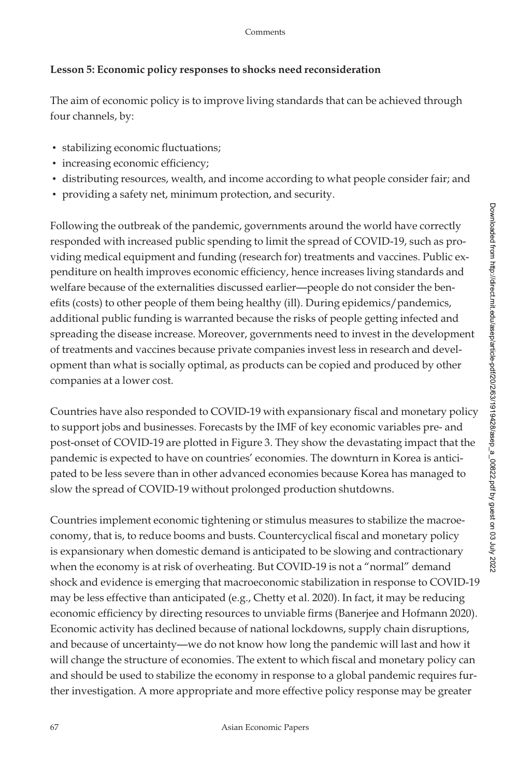#### **Lesson 5: Economic policy responses to shocks need reconsideration**

The aim of economic policy is to improve living standards that can be achieved through four channels, by:

- stabilizing economic fluctuations;
- increasing economic efficiency;
- distributing resources, wealth, and income according to what people consider fair; and
- providing a safety net, minimum protection, and security.

Following the outbreak of the pandemic, governments around the world have correctly responded with increased public spending to limit the spread of COVID-19, such as providing medical equipment and funding (research for) treatments and vaccines. Public expenditure on health improves economic efficiency, hence increases living standards and welfare because of the externalities discussed earlier—people do not consider the benefits (costs) to other people of them being healthy (ill). During epidemics/pandemics, additional public funding is warranted because the risks of people getting infected and spreading the disease increase. Moreover, governments need to invest in the development of treatments and vaccines because private companies invest less in research and development than what is socially optimal, as products can be copied and produced by other companies at a lower cost.

Countries have also responded to COVID-19 with expansionary fiscal and monetary policy to support jobs and businesses. Forecasts by the IMF of key economic variables pre- and post-onset of COVID-19 are plotted in Figure 3. They show the devastating impact that the pandemic is expected to have on countries' economies. The downturn in Korea is anticipated to be less severe than in other advanced economies because Korea has managed to slow the spread of COVID-19 without prolonged production shutdowns.

Countries implement economic tightening or stimulus measures to stabilize the macroeconomy, that is, to reduce booms and busts. Countercyclical fiscal and monetary policy is expansionary when domestic demand is anticipated to be slowing and contractionary when the economy is at risk of overheating. But COVID-19 is not a "normal" demand shock and evidence is emerging that macroeconomic stabilization in response to COVID-19 may be less effective than anticipated (e.g., Chetty et al. 2020). In fact, it may be reducing economic efficiency by directing resources to unviable firms (Banerjee and Hofmann 2020). Economic activity has declined because of national lockdowns, supply chain disruptions, and because of uncertainty—we do not know how long the pandemic will last and how it will change the structure of economies. The extent to which fiscal and monetary policy can and should be used to stabilize the economy in response to a global pandemic requires further investigation. A more appropriate and more effective policy response may be greater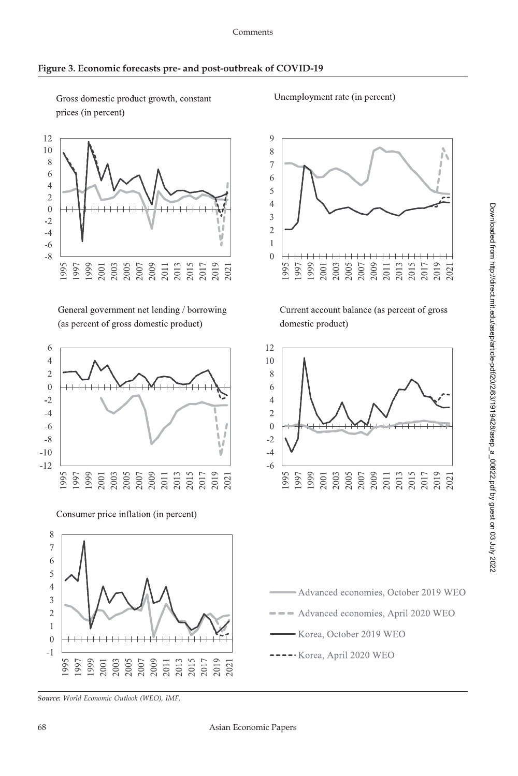Gross domestic product growth, constant prices (in percent)

#### Unemployment rate (in percent)



General government net lending / borrowing (as percent of gross domestic product)



Consumer price inflation (in percent)



Current account balance (as percent of gross domestic product)





*Source: World Economic Outlook (WEO), IMF.*